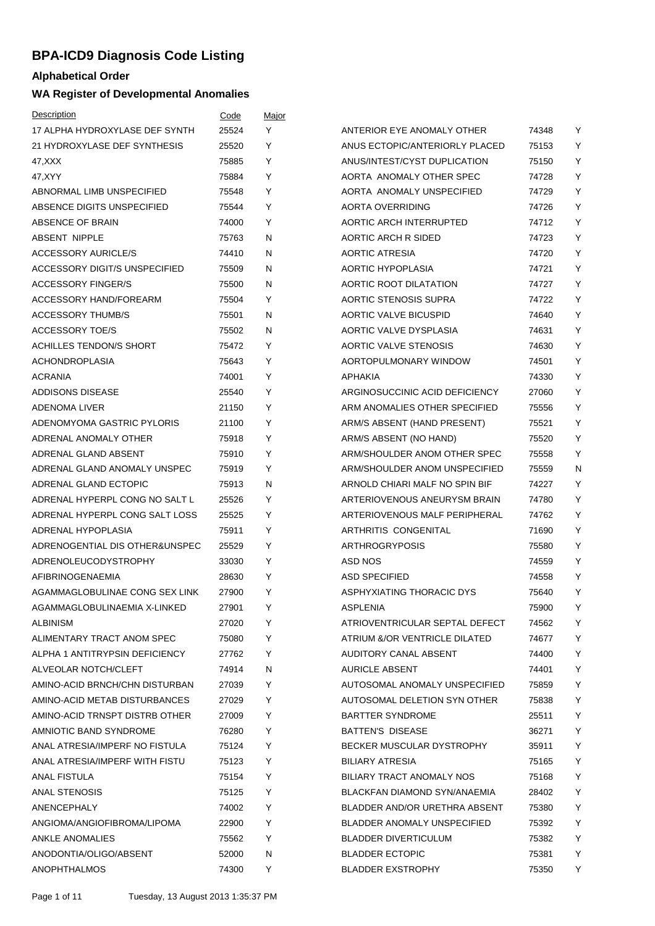## **BPA-ICD9 Diagnosis Code Listing**

## **Alphabetical Order**

## **WA Register of Developmental Anomalies**

| Description                          | Code  | Major |                                |       |   |
|--------------------------------------|-------|-------|--------------------------------|-------|---|
| 17 ALPHA HYDROXYLASE DEF SYNTH       | 25524 | Y     | ANTERIOR EYE ANOMALY OTHER     | 74348 | Υ |
| 21 HYDROXYLASE DEF SYNTHESIS         | 25520 | Y     | ANUS ECTOPIC/ANTERIORLY PLACED | 75153 | Y |
| 47,XXX                               | 75885 | Y     | ANUS/INTEST/CYST DUPLICATION   | 75150 | Υ |
| 47, XYY                              | 75884 | Y     | AORTA ANOMALY OTHER SPEC       | 74728 | Y |
| ABNORMAL LIMB UNSPECIFIED            | 75548 | Y     | AORTA ANOMALY UNSPECIFIED      | 74729 | Υ |
| ABSENCE DIGITS UNSPECIFIED           | 75544 | Y     | <b>AORTA OVERRIDING</b>        | 74726 | Υ |
| ABSENCE OF BRAIN                     | 74000 | Y     | <b>AORTIC ARCH INTERRUPTED</b> | 74712 | Y |
| <b>ABSENT NIPPLE</b>                 | 75763 | N     | AORTIC ARCH R SIDED            | 74723 | Υ |
| <b>ACCESSORY AURICLE/S</b>           | 74410 | N     | <b>AORTIC ATRESIA</b>          | 74720 | Y |
| <b>ACCESSORY DIGIT/S UNSPECIFIED</b> | 75509 | N     | AORTIC HYPOPLASIA              | 74721 | Y |
| <b>ACCESSORY FINGER/S</b>            | 75500 | N     | AORTIC ROOT DILATATION         | 74727 | Υ |
| ACCESSORY HAND/FOREARM               | 75504 | Y     | AORTIC STENOSIS SUPRA          | 74722 | Υ |
| <b>ACCESSORY THUMB/S</b>             | 75501 | N     | <b>AORTIC VALVE BICUSPID</b>   | 74640 | Y |
| <b>ACCESSORY TOE/S</b>               | 75502 | N     | AORTIC VALVE DYSPLASIA         | 74631 | Υ |
| <b>ACHILLES TENDON/S SHORT</b>       | 75472 | Y     | AORTIC VALVE STENOSIS          | 74630 | Υ |
| <b>ACHONDROPLASIA</b>                | 75643 | Y     | AORTOPULMONARY WINDOW          | 74501 | Υ |
| <b>ACRANIA</b>                       | 74001 | Υ     | <b>APHAKIA</b>                 | 74330 | Υ |
| ADDISONS DISEASE                     | 25540 | Y     | ARGINOSUCCINIC ACID DEFICIENCY | 27060 | Υ |
| ADENOMA LIVER                        | 21150 | Y     | ARM ANOMALIES OTHER SPECIFIED  | 75556 | Y |
| ADENOMYOMA GASTRIC PYLORIS           | 21100 | Υ     | ARM/S ABSENT (HAND PRESENT)    | 75521 | Υ |
| ADRENAL ANOMALY OTHER                | 75918 | Y     | ARM/S ABSENT (NO HAND)         | 75520 | Υ |
| ADRENAL GLAND ABSENT                 | 75910 | Y     | ARM/SHOULDER ANOM OTHER SPEC   | 75558 | Υ |
| ADRENAL GLAND ANOMALY UNSPEC         | 75919 | Y     | ARM/SHOULDER ANOM UNSPECIFIED  | 75559 | N |
| ADRENAL GLAND ECTOPIC                | 75913 | N     | ARNOLD CHIARI MALF NO SPIN BIF | 74227 | Υ |
| ADRENAL HYPERPL CONG NO SALT L       | 25526 | Y     | ARTERIOVENOUS ANEURYSM BRAIN   | 74780 | Y |
| ADRENAL HYPERPL CONG SALT LOSS       | 25525 | Υ     | ARTERIOVENOUS MALF PERIPHERAL  | 74762 | Υ |
| ADRENAL HYPOPLASIA                   | 75911 | Y     | ARTHRITIS CONGENITAL           | 71690 | Υ |
| ADRENOGENTIAL DIS OTHER&UNSPEC       | 25529 | Y     | <b>ARTHROGRYPOSIS</b>          | 75580 | Υ |
| <b>ADRENOLEUCODYSTROPHY</b>          | 33030 | Y     | ASD NOS                        | 74559 | Υ |
| AFIBRINOGENAEMIA                     | 28630 | Y     | <b>ASD SPECIFIED</b>           | 74558 | Υ |
| AGAMMAGLOBULINAE CONG SEX LINK       | 27900 | Υ     | ASPHYXIATING THORACIC DYS      | 75640 | Y |
| AGAMMAGLOBULINAEMIA X-LINKED         | 27901 | Y     | <b>ASPLENIA</b>                | 75900 | Y |
| <b>ALBINISM</b>                      | 27020 | Y     | ATRIOVENTRICULAR SEPTAL DEFECT | 74562 | Y |
| ALIMENTARY TRACT ANOM SPEC           | 75080 | Y     | ATRIUM &/OR VENTRICLE DILATED  | 74677 | Υ |
| ALPHA 1 ANTITRYPSIN DEFICIENCY       | 27762 | Y     | AUDITORY CANAL ABSENT          | 74400 | Y |
| ALVEOLAR NOTCH/CLEFT                 | 74914 | N     | <b>AURICLE ABSENT</b>          | 74401 | Υ |
| AMINO-ACID BRNCH/CHN DISTURBAN       | 27039 | Y     | AUTOSOMAL ANOMALY UNSPECIFIED  | 75859 | Υ |
| AMINO-ACID METAB DISTURBANCES        | 27029 | Y     | AUTOSOMAL DELETION SYN OTHER   | 75838 | Y |
| AMINO-ACID TRNSPT DISTRB OTHER       | 27009 | Y     | <b>BARTTER SYNDROME</b>        | 25511 | Y |
| AMNIOTIC BAND SYNDROME               | 76280 | Y     | <b>BATTEN'S DISEASE</b>        | 36271 | Y |
| ANAL ATRESIA/IMPERF NO FISTULA       | 75124 | Y     | BECKER MUSCULAR DYSTROPHY      | 35911 | Υ |
| ANAL ATRESIA/IMPERF WITH FISTU       | 75123 | Y     | <b>BILIARY ATRESIA</b>         | 75165 | Υ |
| ANAL FISTULA                         | 75154 | Y     | BILIARY TRACT ANOMALY NOS      | 75168 | Υ |
| <b>ANAL STENOSIS</b>                 | 75125 | Y     | BLACKFAN DIAMOND SYN/ANAEMIA   | 28402 | Y |
| ANENCEPHALY                          | 74002 | Y     | BLADDER AND/OR URETHRA ABSENT  | 75380 | Y |
| ANGIOMA/ANGIOFIBROMA/LIPOMA          | 22900 | Y     | BLADDER ANOMALY UNSPECIFIED    | 75392 | Υ |
| ANKLE ANOMALIES                      | 75562 | Y     | <b>BLADDER DIVERTICULUM</b>    | 75382 | Y |
| ANODONTIA/OLIGO/ABSENT               | 52000 | N     | <b>BLADDER ECTOPIC</b>         | 75381 | Y |
| ANOPHTHALMOS                         | 74300 | Y     | <b>BLADDER EXSTROPHY</b>       | 75350 | Y |
|                                      |       |       |                                |       |   |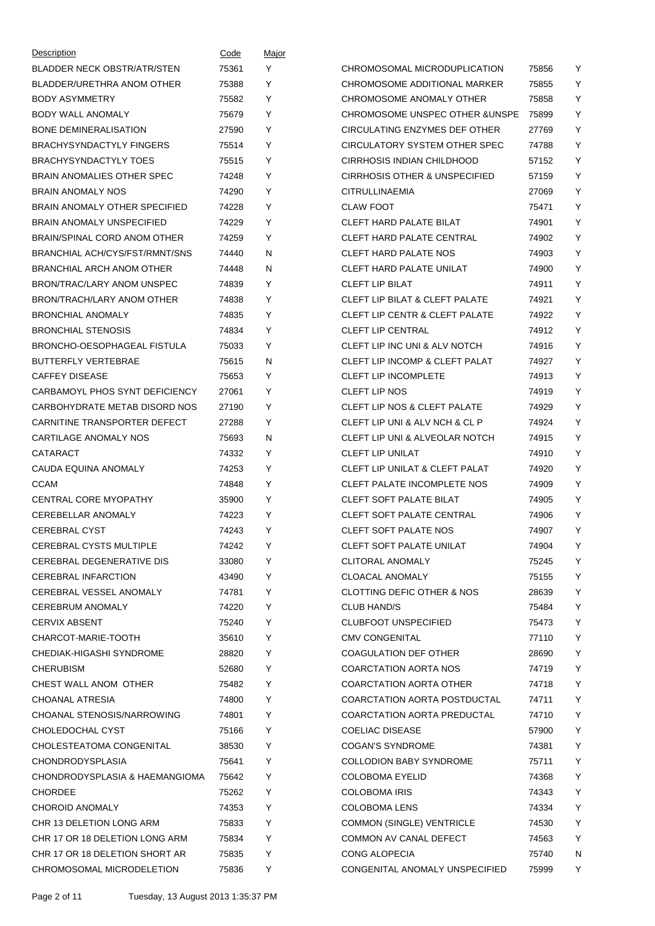| Description                        | Code  | Major |                                           |       |   |
|------------------------------------|-------|-------|-------------------------------------------|-------|---|
| <b>BLADDER NECK OBSTR/ATR/STEN</b> | 75361 | Y     | CHROMOSOMAL MICRODUPLICATION              | 75856 | Y |
| BLADDER/URETHRA ANOM OTHER         | 75388 | Y     | CHROMOSOME ADDITIONAL MARKER              | 75855 | Y |
| <b>BODY ASYMMETRY</b>              | 75582 | Y     | CHROMOSOME ANOMALY OTHER                  | 75858 | Υ |
| <b>BODY WALL ANOMALY</b>           | 75679 | Y     | <b>CHROMOSOME UNSPEC OTHER &amp;UNSPE</b> | 75899 | Y |
| <b>BONE DEMINERALISATION</b>       | 27590 | Y     | CIRCULATING ENZYMES DEF OTHER             | 27769 | Y |
| <b>BRACHYSYNDACTYLY FINGERS</b>    | 75514 | Y     | CIRCULATORY SYSTEM OTHER SPEC             | 74788 | Υ |
| <b>BRACHYSYNDACTYLY TOES</b>       | 75515 | Y     | CIRRHOSIS INDIAN CHILDHOOD                | 57152 | Y |
| <b>BRAIN ANOMALIES OTHER SPEC</b>  | 74248 | Y     | CIRRHOSIS OTHER & UNSPECIFIED             | 57159 | Y |
| <b>BRAIN ANOMALY NOS</b>           | 74290 | Y     | CITRULLINAEMIA                            | 27069 | Υ |
| BRAIN ANOMALY OTHER SPECIFIED      | 74228 | Y     | <b>CLAW FOOT</b>                          | 75471 | Υ |
| <b>BRAIN ANOMALY UNSPECIFIED</b>   | 74229 | Y     | <b>CLEFT HARD PALATE BILAT</b>            | 74901 | Υ |
| BRAIN/SPINAL CORD ANOM OTHER       | 74259 | Y     | <b>CLEFT HARD PALATE CENTRAL</b>          | 74902 | Υ |
| BRANCHIAL ACH/CYS/FST/RMNT/SNS     | 74440 | N     | <b>CLEFT HARD PALATE NOS</b>              | 74903 | Y |
| BRANCHIAL ARCH ANOM OTHER          | 74448 | N     | <b>CLEFT HARD PALATE UNILAT</b>           | 74900 | Y |
| BRON/TRAC/LARY ANOM UNSPEC         | 74839 | Y     | <b>CLEFT LIP BILAT</b>                    | 74911 | Υ |
| BRON/TRACH/LARY ANOM OTHER         | 74838 | Y     | <b>CLEFT LIP BILAT &amp; CLEFT PALATE</b> | 74921 | Y |
| <b>BRONCHIAL ANOMALY</b>           | 74835 | Y     | <b>CLEFT LIP CENTR &amp; CLEFT PALATE</b> | 74922 | Υ |
| <b>BRONCHIAL STENOSIS</b>          | 74834 | Y     | <b>CLEFT LIP CENTRAL</b>                  | 74912 | Υ |
| BRONCHO-OESOPHAGEAL FISTULA        | 75033 | Y     | CLEFT LIP INC UNI & ALV NOTCH             | 74916 | Υ |
| <b>BUTTERFLY VERTEBRAE</b>         | 75615 | N     | <b>CLEFT LIP INCOMP &amp; CLEFT PALAT</b> | 74927 | Y |
| <b>CAFFEY DISEASE</b>              | 75653 | Y     | <b>CLEFT LIP INCOMPLETE</b>               | 74913 | Υ |
| CARBAMOYL PHOS SYNT DEFICIENCY     | 27061 | Y     | <b>CLEFT LIP NOS</b>                      | 74919 | Y |
| CARBOHYDRATE METAB DISORD NOS      | 27190 | Y     | <b>CLEFT LIP NOS &amp; CLEFT PALATE</b>   | 74929 | Υ |
| CARNITINE TRANSPORTER DEFECT       | 27288 | Y     | CLEFT LIP UNI & ALV NCH & CL P            | 74924 | Υ |
| CARTILAGE ANOMALY NOS              | 75693 | N     | <b>CLEFT LIP UNI &amp; ALVEOLAR NOTCH</b> | 74915 | Y |
| CATARACT                           | 74332 | Y     | <b>CLEFT LIP UNILAT</b>                   | 74910 | Y |
| CAUDA EQUINA ANOMALY               | 74253 | Y     | <b>CLEFT LIP UNILAT &amp; CLEFT PALAT</b> | 74920 | Υ |
| <b>CCAM</b>                        | 74848 | Y     | <b>CLEFT PALATE INCOMPLETE NOS</b>        | 74909 | Υ |
| <b>CENTRAL CORE MYOPATHY</b>       | 35900 | Y     | <b>CLEFT SOFT PALATE BILAT</b>            | 74905 | Y |
| CEREBELLAR ANOMALY                 | 74223 | Y     | <b>CLEFT SOFT PALATE CENTRAL</b>          | 74906 | Υ |
| <b>CEREBRAL CYST</b>               | 74243 | Y     | <b>CLEFT SOFT PALATE NOS</b>              | 74907 | Υ |
| <b>CEREBRAL CYSTS MULTIPLE</b>     | 74242 | Y     | <b>CLEFT SOFT PALATE UNILAT</b>           | 74904 | Y |
| CEREBRAL DEGENERATIVE DIS          | 33080 | Y     | <b>CLITORAL ANOMALY</b>                   | 75245 | Y |
| <b>CEREBRAL INFARCTION</b>         | 43490 | Y     | CLOACAL ANOMALY                           | 75155 | Y |
| CEREBRAL VESSEL ANOMALY            | 74781 | Y     | CLOTTING DEFIC OTHER & NOS                | 28639 | Y |
| <b>CEREBRUM ANOMALY</b>            | 74220 | Y     | CLUB HAND/S                               | 75484 | Υ |
| <b>CERVIX ABSENT</b>               | 75240 | Y     | <b>CLUBFOOT UNSPECIFIED</b>               | 75473 | Y |
| CHARCOT-MARIE-TOOTH                | 35610 | Y     | <b>CMV CONGENITAL</b>                     | 77110 | Y |
| CHEDIAK-HIGASHI SYNDROME           | 28820 | Y     | <b>COAGULATION DEF OTHER</b>              | 28690 | Υ |
| <b>CHERUBISM</b>                   | 52680 | Y     | <b>COARCTATION AORTA NOS</b>              | 74719 | Y |
| CHEST WALL ANOM OTHER              | 75482 | Y     | <b>COARCTATION AORTA OTHER</b>            | 74718 | Y |
| <b>CHOANAL ATRESIA</b>             | 74800 | Y     | COARCTATION AORTA POSTDUCTAL              | 74711 | Y |
| CHOANAL STENOSIS/NARROWING         | 74801 | Y     | COARCTATION AORTA PREDUCTAL               | 74710 | Y |
| CHOLEDOCHAL CYST                   | 75166 | Y     | <b>COELIAC DISEASE</b>                    | 57900 | Y |
| CHOLESTEATOMA CONGENITAL           | 38530 | Y     | <b>COGAN'S SYNDROME</b>                   | 74381 | Υ |
| <b>CHONDRODYSPLASIA</b>            | 75641 | Y     | <b>COLLODION BABY SYNDROME</b>            | 75711 | Y |
| CHONDRODYSPLASIA & HAEMANGIOMA     | 75642 | Y     | <b>COLOBOMA EYELID</b>                    | 74368 | Y |
| <b>CHORDEE</b>                     | 75262 | Y     | <b>COLOBOMA IRIS</b>                      | 74343 | Υ |
| <b>CHOROID ANOMALY</b>             | 74353 | Y     | COLOBOMA LENS                             | 74334 | Y |
| CHR 13 DELETION LONG ARM           | 75833 | Y     | <b>COMMON (SINGLE) VENTRICLE</b>          | 74530 | Y |
| CHR 17 OR 18 DELETION LONG ARM     | 75834 | Y     | COMMON AV CANAL DEFECT                    | 74563 | Y |
| CHR 17 OR 18 DELETION SHORT AR     | 75835 | Y     | CONG ALOPECIA                             | 75740 | N |
| CHROMOSOMAL MICRODELETION          | 75836 | Y     | CONGENITAL ANOMALY UNSPECIFIED            | 75999 | Y |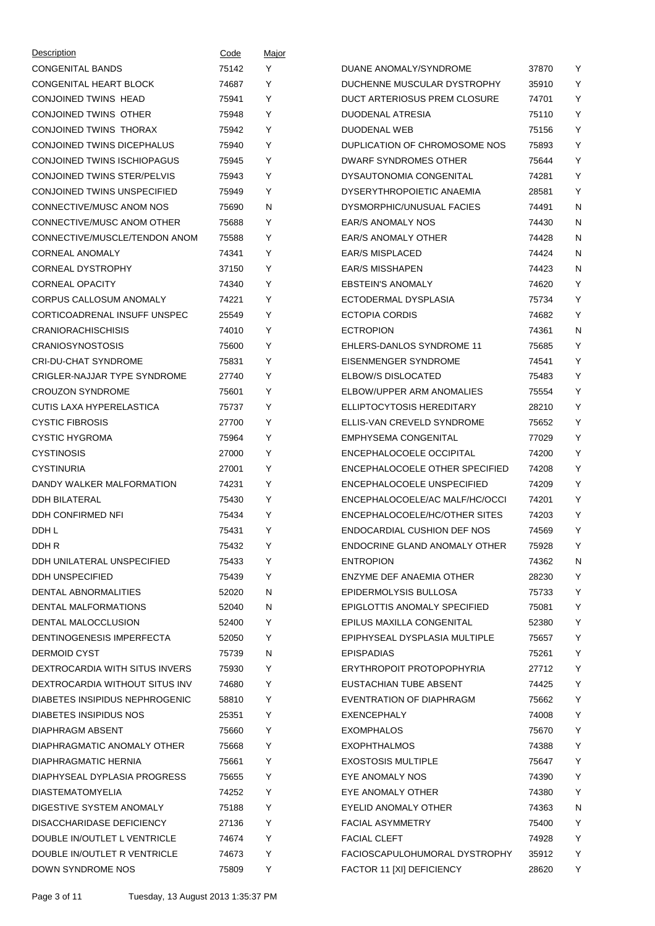| Description                    | Code  | Major |                                     |       |   |
|--------------------------------|-------|-------|-------------------------------------|-------|---|
| <b>CONGENITAL BANDS</b>        | 75142 | Y     | DUANE ANOMALY/SYNDROME              | 37870 | Υ |
| CONGENITAL HEART BLOCK         | 74687 | Y     | DUCHENNE MUSCULAR DYSTROPHY         | 35910 | Υ |
| CONJOINED TWINS HEAD           | 75941 | Y     | DUCT ARTERIOSUS PREM CLOSURE        | 74701 | Υ |
| CONJOINED TWINS OTHER          | 75948 | Y     | DUODENAL ATRESIA                    | 75110 | Υ |
| CONJOINED TWINS THORAX         | 75942 | Y     | DUODENAL WEB                        | 75156 | Υ |
| CONJOINED TWINS DICEPHALUS     | 75940 | Y     | DUPLICATION OF CHROMOSOME NOS       | 75893 | Υ |
| CONJOINED TWINS ISCHIOPAGUS    | 75945 | Y     | DWARF SYNDROMES OTHER               | 75644 | Υ |
| CONJOINED TWINS STER/PELVIS    | 75943 | Y     | DYSAUTONOMIA CONGENITAL             | 74281 | Υ |
| CONJOINED TWINS UNSPECIFIED    | 75949 | Y     | DYSERYTHROPOIETIC ANAEMIA           | 28581 | Υ |
| CONNECTIVE/MUSC ANOM NOS       | 75690 | N     | DYSMORPHIC/UNUSUAL FACIES           | 74491 | N |
| CONNECTIVE/MUSC ANOM OTHER     | 75688 | Y     | <b>EAR/S ANOMALY NOS</b>            | 74430 | N |
| CONNECTIVE/MUSCLE/TENDON ANOM  | 75588 | Y     | <b>EAR/S ANOMALY OTHER</b>          | 74428 | N |
| <b>CORNEAL ANOMALY</b>         | 74341 | Y     | <b>EAR/S MISPLACED</b>              | 74424 | N |
| <b>CORNEAL DYSTROPHY</b>       | 37150 | Y     | <b>EAR/S MISSHAPEN</b>              | 74423 | N |
| <b>CORNEAL OPACITY</b>         | 74340 | Y     | <b>EBSTEIN'S ANOMALY</b>            | 74620 | Υ |
| CORPUS CALLOSUM ANOMALY        | 74221 | Y     | ECTODERMAL DYSPLASIA                | 75734 | Υ |
| CORTICOADRENAL INSUFF UNSPEC   | 25549 | Y     | ECTOPIA CORDIS                      | 74682 | Υ |
| <b>CRANIORACHISCHISIS</b>      | 74010 | Υ     | <b>ECTROPION</b>                    | 74361 | N |
| <b>CRANIOSYNOSTOSIS</b>        | 75600 | Y     | EHLERS-DANLOS SYNDROME 11           | 75685 | Υ |
| <b>CRI-DU-CHAT SYNDROME</b>    | 75831 | Y     | EISENMENGER SYNDROME                | 74541 | Υ |
| CRIGLER-NAJJAR TYPE SYNDROME   | 27740 | Y     | <b>ELBOW/S DISLOCATED</b>           | 75483 | Υ |
| <b>CROUZON SYNDROME</b>        | 75601 | Y     | ELBOW/UPPER ARM ANOMALIES           | 75554 | Υ |
| CUTIS LAXA HYPERELASTICA       | 75737 | Y     | ELLIPTOCYTOSIS HEREDITARY           | 28210 | Υ |
| <b>CYSTIC FIBROSIS</b>         | 27700 | Υ     | ELLIS-VAN CREVELD SYNDROME          | 75652 | Υ |
| <b>CYSTIC HYGROMA</b>          | 75964 | Y     | EMPHYSEMA CONGENITAL                | 77029 | Υ |
| <b>CYSTINOSIS</b>              | 27000 | Y     | ENCEPHALOCOELE OCCIPITAL            | 74200 | Υ |
| <b>CYSTINURIA</b>              | 27001 | Y     | ENCEPHALOCOELE OTHER SPECIFIED      | 74208 | Υ |
| DANDY WALKER MALFORMATION      | 74231 | Y     | ENCEPHALOCOELE UNSPECIFIED          | 74209 | Υ |
| <b>DDH BILATERAL</b>           | 75430 | Y     | ENCEPHALOCOELE/AC MALF/HC/OCCI      | 74201 | Υ |
| DDH CONFIRMED NFI              | 75434 | Υ     | ENCEPHALOCOELE/HC/OTHER SITES       | 74203 | Υ |
| DDH L                          | 75431 | Υ     | ENDOCARDIAL CUSHION DEF NOS         | 74569 | Υ |
| DDH R                          | 75432 | Y     | ENDOCRINE GLAND ANOMALY OTHER       | 75928 | Y |
| DDH UNILATERAL UNSPECIFIED     | 75433 | Y     | <b>ENTROPION</b>                    | 74362 | N |
| DDH UNSPECIFIED                | 75439 | Y     | ENZYME DEF ANAEMIA OTHER            | 28230 | Υ |
| DENTAL ABNORMALITIES           | 52020 | N     | EPIDERMOLYSIS BULLOSA               | 75733 | Y |
| DENTAL MALFORMATIONS           | 52040 | N     | <b>EPIGLOTTIS ANOMALY SPECIFIED</b> | 75081 | Y |
| DENTAL MALOCCLUSION            | 52400 | Y     | EPILUS MAXILLA CONGENITAL           | 52380 | Y |
| DENTINOGENESIS IMPERFECTA      | 52050 | Y     | EPIPHYSEAL DYSPLASIA MULTIPLE       | 75657 | Υ |
| DERMOID CYST                   | 75739 | N     | <b>EPISPADIAS</b>                   | 75261 | Υ |
| DEXTROCARDIA WITH SITUS INVERS | 75930 | Y     | ERYTHROPOIT PROTOPOPHYRIA           | 27712 | Υ |
| DEXTROCARDIA WITHOUT SITUS INV | 74680 | Y     | EUSTACHIAN TUBE ABSENT              | 74425 | Y |
| DIABETES INSIPIDUS NEPHROGENIC | 58810 | Y     | EVENTRATION OF DIAPHRAGM            | 75662 | Υ |
| DIABETES INSIPIDUS NOS         | 25351 | Y     | EXENCEPHALY                         | 74008 | Y |
| DIAPHRAGM ABSENT               | 75660 | Y     | <b>EXOMPHALOS</b>                   | 75670 | Y |
| DIAPHRAGMATIC ANOMALY OTHER    | 75668 | Y     | <b>EXOPHTHALMOS</b>                 | 74388 | Υ |
| DIAPHRAGMATIC HERNIA           | 75661 | Y     | <b>EXOSTOSIS MULTIPLE</b>           | 75647 | Y |
| DIAPHYSEAL DYPLASIA PROGRESS   | 75655 | Y     | EYE ANOMALY NOS                     | 74390 | Y |
| <b>DIASTEMATOMYELIA</b>        | 74252 | Y     | EYE ANOMALY OTHER                   | 74380 | Υ |
| DIGESTIVE SYSTEM ANOMALY       | 75188 | Y     | EYELID ANOMALY OTHER                | 74363 | N |
| DISACCHARIDASE DEFICIENCY      | 27136 | Y     | <b>FACIAL ASYMMETRY</b>             | 75400 | Υ |
| DOUBLE IN/OUTLET L VENTRICLE   | 74674 | Y     | <b>FACIAL CLEFT</b>                 | 74928 | Υ |
| DOUBLE IN/OUTLET R VENTRICLE   | 74673 | Y     | FACIOSCAPULOHUMORAL DYSTROPHY       | 35912 | Υ |
| DOWN SYNDROME NOS              | 75809 | Y     | FACTOR 11 [XI] DEFICIENCY           | 28620 | Y |
|                                |       |       |                                     |       |   |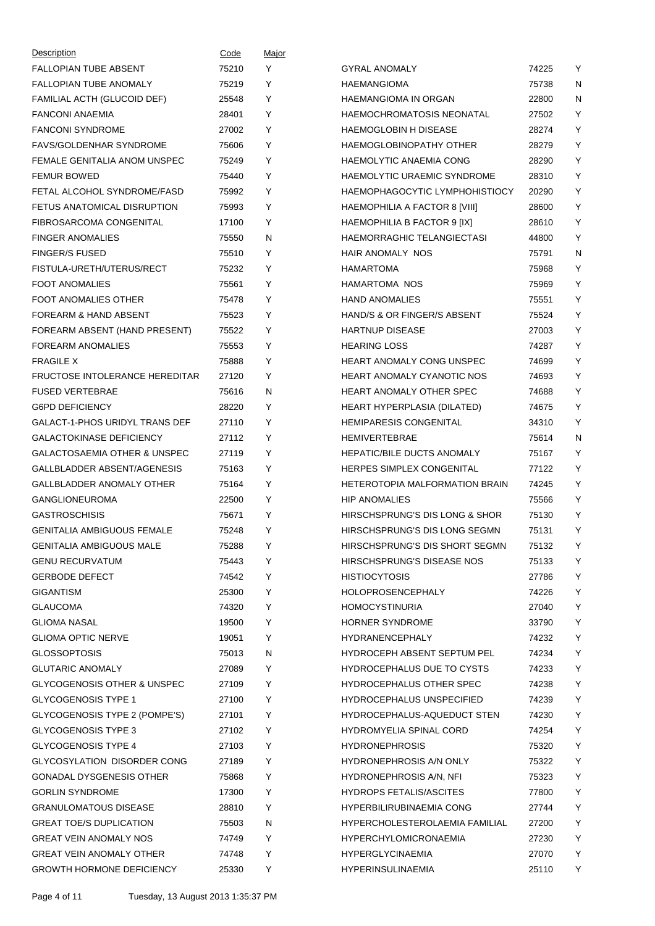| Description                             | Code  | <u>Major</u> |                                    |       |              |
|-----------------------------------------|-------|--------------|------------------------------------|-------|--------------|
| <b>FALLOPIAN TUBE ABSENT</b>            | 75210 | Y            | <b>GYRAL ANOMALY</b>               | 74225 | Y            |
| <b>FALLOPIAN TUBE ANOMALY</b>           | 75219 | Y            | <b>HAEMANGIOMA</b>                 | 75738 | $\mathsf{N}$ |
| FAMILIAL ACTH (GLUCOID DEF)             | 25548 | Y            | <b>HAEMANGIOMA IN ORGAN</b>        | 22800 | N            |
| <b>FANCONI ANAEMIA</b>                  | 28401 | Y            | HAEMOCHROMATOSIS NEONATAL          | 27502 | Y            |
| <b>FANCONI SYNDROME</b>                 | 27002 | Y            | <b>HAEMOGLOBIN H DISEASE</b>       | 28274 | Y            |
| <b>FAVS/GOLDENHAR SYNDROME</b>          | 75606 | Y            | <b>HAEMOGLOBINOPATHY OTHER</b>     | 28279 | Y            |
| FEMALE GENITALIA ANOM UNSPEC            | 75249 | Y            | HAEMOLYTIC ANAEMIA CONG            | 28290 | Y            |
| <b>FEMUR BOWED</b>                      | 75440 | Y            | <b>HAEMOLYTIC URAEMIC SYNDROME</b> | 28310 | Y            |
| FETAL ALCOHOL SYNDROME/FASD             | 75992 | Y            | HAEMOPHAGOCYTIC LYMPHOHISTIOCY     | 20290 | Y            |
| FETUS ANATOMICAL DISRUPTION             | 75993 | Y            | HAEMOPHILIA A FACTOR 8 [VIII]      | 28600 | Y            |
| FIBROSARCOMA CONGENITAL                 | 17100 | Y            | HAEMOPHILIA B FACTOR 9 [IX]        | 28610 | Y            |
| <b>FINGER ANOMALIES</b>                 | 75550 | N            | <b>HAEMORRAGHIC TELANGIECTASI</b>  | 44800 | Y            |
| <b>FINGER/S FUSED</b>                   | 75510 | Y            | <b>HAIR ANOMALY NOS</b>            | 75791 | N            |
| FISTULA-URETH/UTERUS/RECT               | 75232 | Y            | <b>HAMARTOMA</b>                   | 75968 | Y            |
| <b>FOOT ANOMALIES</b>                   | 75561 | Y            | HAMARTOMA NOS                      | 75969 | Y            |
| FOOT ANOMALIES OTHER                    | 75478 | Y            | <b>HAND ANOMALIES</b>              | 75551 | Y            |
| <b>FOREARM &amp; HAND ABSENT</b>        | 75523 | Y            | HAND/S & OR FINGER/S ABSENT        | 75524 | Y            |
| FOREARM ABSENT (HAND PRESENT)           | 75522 | Y            | <b>HARTNUP DISEASE</b>             | 27003 | Y            |
| <b>FOREARM ANOMALIES</b>                | 75553 | Y            | <b>HEARING LOSS</b>                | 74287 | Y            |
| <b>FRAGILE X</b>                        | 75888 | Y            | <b>HEART ANOMALY CONG UNSPEC</b>   | 74699 | Y            |
| <b>FRUCTOSE INTOLERANCE HEREDITAR</b>   | 27120 | Y            | <b>HEART ANOMALY CYANOTIC NOS</b>  | 74693 | Y            |
| <b>FUSED VERTEBRAE</b>                  | 75616 | N            | HEART ANOMALY OTHER SPEC           | 74688 | Y            |
| <b>G6PD DEFICIENCY</b>                  | 28220 | Y            | HEART HYPERPLASIA (DILATED)        | 74675 | Y            |
| GALACT-1-PHOS URIDYL TRANS DEF          | 27110 | Y            | <b>HEMIPARESIS CONGENITAL</b>      | 34310 | Y            |
| <b>GALACTOKINASE DEFICIENCY</b>         | 27112 | Y            | <b>HEMIVERTEBRAE</b>               | 75614 | N            |
| <b>GALACTOSAEMIA OTHER &amp; UNSPEC</b> | 27119 | Y            | <b>HEPATIC/BILE DUCTS ANOMALY</b>  | 75167 | Y            |
| GALLBLADDER ABSENT/AGENESIS             | 75163 | Y            | HERPES SIMPLEX CONGENITAL          | 77122 | Y            |
| <b>GALLBLADDER ANOMALY OTHER</b>        | 75164 | Y            | HETEROTOPIA MALFORMATION BRAIN     | 74245 | Y            |
| <b>GANGLIONEUROMA</b>                   | 22500 | Y            | <b>HIP ANOMALIES</b>               | 75566 | Y            |
| <b>GASTROSCHISIS</b>                    | 75671 | Y            | HIRSCHSPRUNG'S DIS LONG & SHOR     | 75130 | Y            |
| <b>GENITALIA AMBIGUOUS FEMALE</b>       | 75248 | Y            | HIRSCHSPRUNG'S DIS LONG SEGMN      | 75131 | Y            |
| <b>GENITALIA AMBIGUOUS MALE</b>         | 75288 | Y            | HIRSCHSPRUNG'S DIS SHORT SEGMN     | 75132 | Y            |
| <b>GENU RECURVATUM</b>                  | 75443 | Y            | HIRSCHSPRUNG'S DISEASE NOS         | 75133 | Υ            |
| <b>GERBODE DEFECT</b>                   | 74542 | Y            | <b>HISTIOCYTOSIS</b>               | 27786 | Y            |
| <b>GIGANTISM</b>                        | 25300 | Y            | <b>HOLOPROSENCEPHALY</b>           | 74226 | Υ            |
| <b>GLAUCOMA</b>                         | 74320 | Y            | <b>HOMOCYSTINURIA</b>              | 27040 | Υ            |
| <b>GLIOMA NASAL</b>                     | 19500 | Υ            | <b>HORNER SYNDROME</b>             | 33790 | Y            |
| <b>GLIOMA OPTIC NERVE</b>               | 19051 | Y            | <b>HYDRANENCEPHALY</b>             | 74232 | Y            |
| <b>GLOSSOPTOSIS</b>                     | 75013 | N            | <b>HYDROCEPH ABSENT SEPTUM PEL</b> | 74234 | Y            |
| <b>GLUTARIC ANOMALY</b>                 | 27089 | Y            | <b>HYDROCEPHALUS DUE TO CYSTS</b>  | 74233 | Y            |
| <b>GLYCOGENOSIS OTHER &amp; UNSPEC</b>  | 27109 | Y            | <b>HYDROCEPHALUS OTHER SPEC</b>    | 74238 | Y            |
| <b>GLYCOGENOSIS TYPE 1</b>              | 27100 | Y            | <b>HYDROCEPHALUS UNSPECIFIED</b>   | 74239 | Υ            |
| GLYCOGENOSIS TYPE 2 (POMPE'S)           | 27101 | Υ            | HYDROCEPHALUS-AQUEDUCT STEN        | 74230 | Y            |
| <b>GLYCOGENOSIS TYPE 3</b>              | 27102 | Y            | <b>HYDROMYELIA SPINAL CORD</b>     | 74254 | Y            |
| <b>GLYCOGENOSIS TYPE 4</b>              | 27103 | Y            | <b>HYDRONEPHROSIS</b>              | 75320 | Y            |
| GLYCOSYLATION DISORDER CONG             | 27189 | Y            | <b>HYDRONEPHROSIS A/N ONLY</b>     | 75322 | Y            |
| <b>GONADAL DYSGENESIS OTHER</b>         | 75868 | Y            | <b>HYDRONEPHROSIS A/N, NFI</b>     | 75323 | Y            |
| <b>GORLIN SYNDROME</b>                  | 17300 | Y            | <b>HYDROPS FETALIS/ASCITES</b>     | 77800 | Υ            |
| <b>GRANULOMATOUS DISEASE</b>            | 28810 | Y            | HYPERBILIRUBINAEMIA CONG           | 27744 | Y            |
| <b>GREAT TOE/S DUPLICATION</b>          | 75503 | N            | HYPERCHOLESTEROLAEMIA FAMILIAL     | 27200 | Υ            |
| <b>GREAT VEIN ANOMALY NOS</b>           | 74749 | Y            | <b>HYPERCHYLOMICRONAEMIA</b>       | 27230 | Υ            |
| <b>GREAT VEIN ANOMALY OTHER</b>         | 74748 | Υ            | <b>HYPERGLYCINAEMIA</b>            | 27070 | Y            |
| <b>GROWTH HORMONE DEFICIENCY</b>        | 25330 | Υ            | HYPERINSULINAEMIA                  | 25110 | Y            |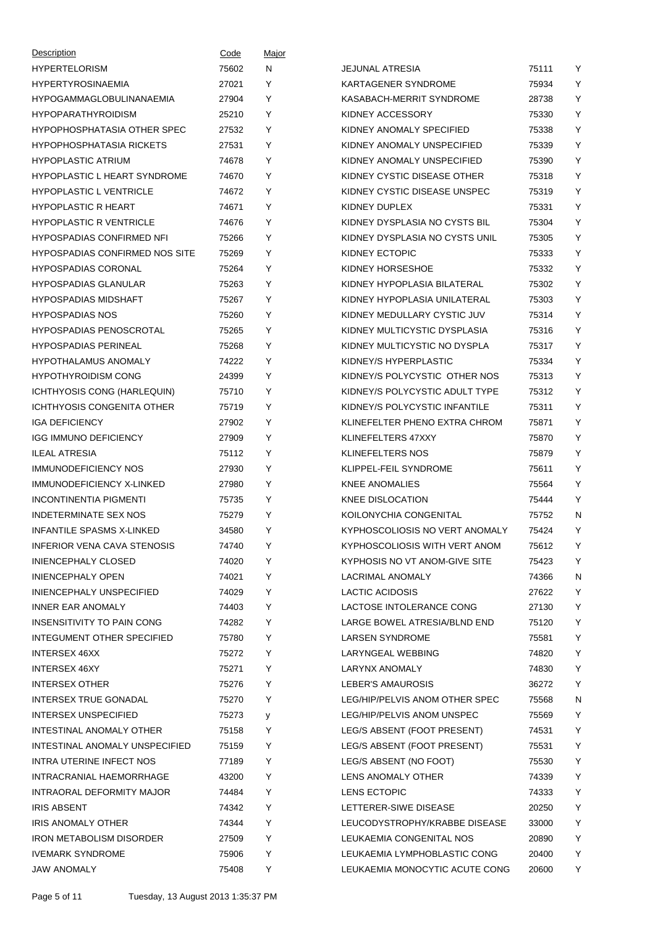| Description                           | Code  | Major |                                |       |   |
|---------------------------------------|-------|-------|--------------------------------|-------|---|
| <b>HYPERTELORISM</b>                  | 75602 | N     | <b>JEJUNAL ATRESIA</b>         | 75111 | Y |
| <b>HYPERTYROSINAEMIA</b>              | 27021 | Y     | KARTAGENER SYNDROME            | 75934 | Y |
| HYPOGAMMAGLOBULINANAEMIA              | 27904 | Y     | KASABACH-MERRIT SYNDROME       | 28738 | Y |
| <b>HYPOPARATHYROIDISM</b>             | 25210 | Y     | KIDNEY ACCESSORY               | 75330 | Y |
| HYPOPHOSPHATASIA OTHER SPEC           | 27532 | Y     | KIDNEY ANOMALY SPECIFIED       | 75338 | Y |
| <b>HYPOPHOSPHATASIA RICKETS</b>       | 27531 | Y     | KIDNEY ANOMALY UNSPECIFIED     | 75339 | Y |
| <b>HYPOPLASTIC ATRIUM</b>             | 74678 | Y     | KIDNEY ANOMALY UNSPECIFIED     | 75390 | Y |
| <b>HYPOPLASTIC L HEART SYNDROME</b>   | 74670 | Y     | KIDNEY CYSTIC DISEASE OTHER    | 75318 | Y |
| <b>HYPOPLASTIC L VENTRICLE</b>        | 74672 | Y     | KIDNEY CYSTIC DISEASE UNSPEC   | 75319 | Y |
| <b>HYPOPLASTIC R HEART</b>            | 74671 | Y     | KIDNEY DUPLEX                  | 75331 | Y |
| <b>HYPOPLASTIC R VENTRICLE</b>        | 74676 | Y     | KIDNEY DYSPLASIA NO CYSTS BIL  | 75304 | Y |
| <b>HYPOSPADIAS CONFIRMED NFI</b>      | 75266 | Y     | KIDNEY DYSPLASIA NO CYSTS UNIL | 75305 | Y |
| <b>HYPOSPADIAS CONFIRMED NOS SITE</b> | 75269 | Y     | KIDNEY ECTOPIC                 | 75333 | Y |
| <b>HYPOSPADIAS CORONAL</b>            | 75264 | Y     | KIDNEY HORSESHOE               | 75332 | Y |
| <b>HYPOSPADIAS GLANULAR</b>           | 75263 | Y     | KIDNEY HYPOPLASIA BILATERAL    | 75302 | Y |
| <b>HYPOSPADIAS MIDSHAFT</b>           | 75267 | Y     | KIDNEY HYPOPLASIA UNILATERAL   | 75303 | Y |
| <b>HYPOSPADIAS NOS</b>                | 75260 | Y     | KIDNEY MEDULLARY CYSTIC JUV    | 75314 | Y |
| <b>HYPOSPADIAS PENOSCROTAL</b>        | 75265 | Y     | KIDNEY MULTICYSTIC DYSPLASIA   | 75316 | Y |
| <b>HYPOSPADIAS PERINEAL</b>           | 75268 | Y     | KIDNEY MULTICYSTIC NO DYSPLA   | 75317 | Y |
| <b>HYPOTHALAMUS ANOMALY</b>           | 74222 | Y     | KIDNEY/S HYPERPLASTIC          | 75334 | Y |
| <b>HYPOTHYROIDISM CONG</b>            | 24399 | Y     | KIDNEY/S POLYCYSTIC OTHER NOS  | 75313 | Y |
| ICHTHYOSIS CONG (HARLEQUIN)           | 75710 | Y     | KIDNEY/S POLYCYSTIC ADULT TYPE | 75312 | Y |
| ICHTHYOSIS CONGENITA OTHER            | 75719 | Y     | KIDNEY/S POLYCYSTIC INFANTILE  | 75311 | Y |
| <b>IGA DEFICIENCY</b>                 | 27902 | Y     | KLINEFELTER PHENO EXTRA CHROM  | 75871 | Y |
| <b>IGG IMMUNO DEFICIENCY</b>          | 27909 | Y     | KLINEFELTERS 47XXY             | 75870 | Y |
| <b>ILEAL ATRESIA</b>                  | 75112 | Y     | <b>KLINEFELTERS NOS</b>        | 75879 | Y |
| <b>IMMUNODEFICIENCY NOS</b>           | 27930 | Y     | KLIPPEL-FEIL SYNDROME          | 75611 | Y |
| <b>IMMUNODEFICIENCY X-LINKED</b>      | 27980 | Y     | <b>KNEE ANOMALIES</b>          | 75564 | Y |
| <b>INCONTINENTIA PIGMENTI</b>         | 75735 | Y     | <b>KNEE DISLOCATION</b>        | 75444 | Y |
| <b>INDETERMINATE SEX NOS</b>          | 75279 | Y     | KOILONYCHIA CONGENITAL         | 75752 | N |
| <b>INFANTILE SPASMS X-LINKED</b>      | 34580 | Υ     | KYPHOSCOLIOSIS NO VERT ANOMALY | 75424 | Υ |
| <b>INFERIOR VENA CAVA STENOSIS</b>    | 74740 | Y     | KYPHOSCOLIOSIS WITH VERT ANOM  | 75612 | Y |
| <b>INIENCEPHALY CLOSED</b>            | 74020 | Y     | KYPHOSIS NO VT ANOM-GIVE SITE  | 75423 | Y |
| <b>INIENCEPHALY OPEN</b>              | 74021 | Y     | LACRIMAL ANOMALY               | 74366 | N |
| INIENCEPHALY UNSPECIFIED              | 74029 | Y     | LACTIC ACIDOSIS                | 27622 | Y |
| <b>INNER EAR ANOMALY</b>              | 74403 | Y     | LACTOSE INTOLERANCE CONG       | 27130 | Y |
| INSENSITIVITY TO PAIN CONG            | 74282 | Y     | LARGE BOWEL ATRESIA/BLND END   | 75120 | Y |
| INTEGUMENT OTHER SPECIFIED            | 75780 | Y     | <b>LARSEN SYNDROME</b>         | 75581 | Y |
| <b>INTERSEX 46XX</b>                  | 75272 | Y     | LARYNGEAL WEBBING              | 74820 | Y |
| <b>INTERSEX 46XY</b>                  | 75271 | Y     | LARYNX ANOMALY                 | 74830 | Y |
| <b>INTERSEX OTHER</b>                 | 75276 | Y     | LEBER'S AMAUROSIS              | 36272 | Y |
| <b>INTERSEX TRUE GONADAL</b>          | 75270 | Y     | LEG/HIP/PELVIS ANOM OTHER SPEC | 75568 | N |
| <b>INTERSEX UNSPECIFIED</b>           | 75273 | У     | LEG/HIP/PELVIS ANOM UNSPEC     | 75569 | Y |
| INTESTINAL ANOMALY OTHER              | 75158 | Y     | LEG/S ABSENT (FOOT PRESENT)    | 74531 | Y |
| INTESTINAL ANOMALY UNSPECIFIED        | 75159 | Y     | LEG/S ABSENT (FOOT PRESENT)    | 75531 | Y |
| INTRA UTERINE INFECT NOS              | 77189 | Y     | LEG/S ABSENT (NO FOOT)         | 75530 | Y |
| INTRACRANIAL HAEMORRHAGE              | 43200 | Y     | LENS ANOMALY OTHER             | 74339 | Y |
| INTRAORAL DEFORMITY MAJOR             | 74484 | Y     | LENS ECTOPIC                   | 74333 | Y |
| <b>IRIS ABSENT</b>                    | 74342 | Y     | LETTERER-SIWE DISEASE          | 20250 | Y |
| IRIS ANOMALY OTHER                    | 74344 | Y     | LEUCODYSTROPHY/KRABBE DISEASE  | 33000 | Y |
| <b>IRON METABOLISM DISORDER</b>       | 27509 | Y     | LEUKAEMIA CONGENITAL NOS       | 20890 | Y |
| <b>IVEMARK SYNDROME</b>               | 75906 | Υ     | LEUKAEMIA LYMPHOBLASTIC CONG   | 20400 | Y |
| <b>JAW ANOMALY</b>                    | 75408 | Y     | LEUKAEMIA MONOCYTIC ACUTE CONG | 20600 | Y |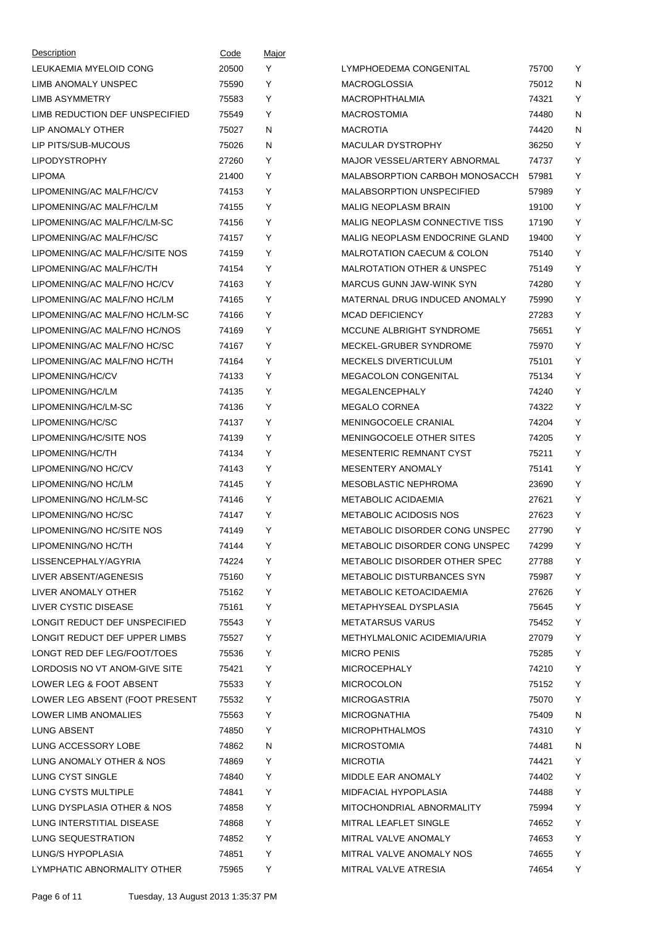| Description                    | Code  | Major |                                       |       |   |
|--------------------------------|-------|-------|---------------------------------------|-------|---|
| LEUKAEMIA MYELOID CONG         | 20500 | Y     | LYMPHOEDEMA CONGENITAL                | 75700 | Y |
| LIMB ANOMALY UNSPEC            | 75590 | Y     | <b>MACROGLOSSIA</b>                   | 75012 | N |
| LIMB ASYMMETRY                 | 75583 | Y     | <b>MACROPHTHALMIA</b>                 | 74321 | Y |
| LIMB REDUCTION DEF UNSPECIFIED | 75549 | Y     | <b>MACROSTOMIA</b>                    | 74480 | N |
| LIP ANOMALY OTHER              | 75027 | N     | <b>MACROTIA</b>                       | 74420 | N |
| LIP PITS/SUB-MUCOUS            | 75026 | N     | <b>MACULAR DYSTROPHY</b>              | 36250 | Y |
| <b>LIPODYSTROPHY</b>           | 27260 | Y     | MAJOR VESSEL/ARTERY ABNORMAL          | 74737 | Y |
| <b>LIPOMA</b>                  | 21400 | Y     | MALABSORPTION CARBOH MONOSACCH        | 57981 | Y |
| LIPOMENING/AC MALF/HC/CV       | 74153 | Y     | <b>MALABSORPTION UNSPECIFIED</b>      | 57989 | Y |
| LIPOMENING/AC MALF/HC/LM       | 74155 | Y     | <b>MALIG NEOPLASM BRAIN</b>           | 19100 | Y |
| LIPOMENING/AC MALF/HC/LM-SC    | 74156 | Y     | MALIG NEOPLASM CONNECTIVE TISS        | 17190 | Y |
| LIPOMENING/AC MALF/HC/SC       | 74157 | Y     | <b>MALIG NEOPLASM ENDOCRINE GLAND</b> | 19400 | Y |
| LIPOMENING/AC MALF/HC/SITE NOS | 74159 | Y     | <b>MALROTATION CAECUM &amp; COLON</b> | 75140 | Y |
| LIPOMENING/AC MALF/HC/TH       | 74154 | Y     | <b>MALROTATION OTHER &amp; UNSPEC</b> | 75149 | Y |
| LIPOMENING/AC MALF/NO HC/CV    | 74163 | Υ     | <b>MARCUS GUNN JAW-WINK SYN</b>       | 74280 | Y |
| LIPOMENING/AC MALF/NO HC/LM    | 74165 | Υ     | MATERNAL DRUG INDUCED ANOMALY         | 75990 | Y |
| LIPOMENING/AC MALF/NO HC/LM-SC | 74166 | Y     | <b>MCAD DEFICIENCY</b>                | 27283 | Y |
| LIPOMENING/AC MALF/NO HC/NOS   | 74169 | Υ     | MCCUNE ALBRIGHT SYNDROME              | 75651 | Y |
| LIPOMENING/AC MALF/NO HC/SC    | 74167 | Y     | MECKEL-GRUBER SYNDROME                | 75970 | Y |
| LIPOMENING/AC MALF/NO HC/TH    | 74164 | Y     | <b>MECKELS DIVERTICULUM</b>           | 75101 | Y |
| LIPOMENING/HC/CV               | 74133 | Υ     | MEGACOLON CONGENITAL                  | 75134 | Y |
| LIPOMENING/HC/LM               | 74135 | Υ     | MEGALENCEPHALY                        | 74240 | Y |
| LIPOMENING/HC/LM-SC            | 74136 | Y     | <b>MEGALO CORNEA</b>                  | 74322 | Y |
| LIPOMENING/HC/SC               | 74137 | Υ     | <b>MENINGOCOELE CRANIAL</b>           | 74204 | Y |
| LIPOMENING/HC/SITE NOS         | 74139 | Y     | MENINGOCOELE OTHER SITES              | 74205 | Y |
| LIPOMENING/HC/TH               | 74134 | Y     | MESENTERIC REMNANT CYST               | 75211 | Y |
| LIPOMENING/NO HC/CV            | 74143 | Υ     | <b>MESENTERY ANOMALY</b>              | 75141 | Y |
| LIPOMENING/NO HC/LM            | 74145 | Υ     | MESOBLASTIC NEPHROMA                  | 23690 | Y |
| LIPOMENING/NO HC/LM-SC         | 74146 | Y     | <b>METABOLIC ACIDAEMIA</b>            | 27621 | Y |
| LIPOMENING/NO HC/SC            | 74147 | Υ     | <b>METABOLIC ACIDOSIS NOS</b>         | 27623 | Y |
| LIPOMENING/NO HC/SITE NOS      | 74149 | Υ     | METABOLIC DISORDER CONG UNSPEC        | 27790 | Y |
| LIPOMENING/NO HC/TH            | 74144 | Y     | METABOLIC DISORDER CONG UNSPEC        | 74299 | Y |
| LISSENCEPHALY/AGYRIA           | 74224 | Y     | METABOLIC DISORDER OTHER SPEC         | 27788 | Υ |
| LIVER ABSENT/AGENESIS          | 75160 | Υ     | <b>METABOLIC DISTURBANCES SYN</b>     | 75987 | Υ |
| LIVER ANOMALY OTHER            | 75162 | Y     | <b>METABOLIC KETOACIDAEMIA</b>        | 27626 | Y |
| LIVER CYSTIC DISEASE           | 75161 | Y     | METAPHYSEAL DYSPLASIA                 | 75645 | Υ |
| LONGIT REDUCT DEF UNSPECIFIED  | 75543 | Y     | <b>METATARSUS VARUS</b>               | 75452 | Y |
| LONGIT REDUCT DEF UPPER LIMBS  | 75527 | Y     | METHYLMALONIC ACIDEMIA/URIA           | 27079 | Y |
| LONGT RED DEF LEG/FOOT/TOES    | 75536 | Y     | <b>MICRO PENIS</b>                    | 75285 | Υ |
| LORDOSIS NO VT ANOM-GIVE SITE  | 75421 | Υ     | <b>MICROCEPHALY</b>                   | 74210 | Υ |
| LOWER LEG & FOOT ABSENT        | 75533 | Y     | <b>MICROCOLON</b>                     | 75152 | Y |
| LOWER LEG ABSENT (FOOT PRESENT | 75532 | Y     | <b>MICROGASTRIA</b>                   | 75070 | Υ |
| LOWER LIMB ANOMALIES           | 75563 | Y     | <b>MICROGNATHIA</b>                   | 75409 | N |
| LUNG ABSENT                    | 74850 | Y     | <b>MICROPHTHALMOS</b>                 | 74310 | Υ |
| LUNG ACCESSORY LOBE            | 74862 | N     | <b>MICROSTOMIA</b>                    | 74481 | N |
| LUNG ANOMALY OTHER & NOS       | 74869 | Y     | <b>MICROTIA</b>                       | 74421 | Υ |
| LUNG CYST SINGLE               | 74840 | Y     | MIDDLE EAR ANOMALY                    | 74402 | Y |
| LUNG CYSTS MULTIPLE            | 74841 | Y     | MIDFACIAL HYPOPLASIA                  | 74488 | Υ |
| LUNG DYSPLASIA OTHER & NOS     | 74858 | Y     | MITOCHONDRIAL ABNORMALITY             | 75994 | Υ |
| LUNG INTERSTITIAL DISEASE      | 74868 | Y     | MITRAL LEAFLET SINGLE                 | 74652 | Υ |
| LUNG SEQUESTRATION             | 74852 | Y     | MITRAL VALVE ANOMALY                  | 74653 | Υ |
| LUNG/S HYPOPLASIA              | 74851 | Y     | MITRAL VALVE ANOMALY NOS              | 74655 | Υ |
| LYMPHATIC ABNORMALITY OTHER    | 75965 | Y     | MITRAL VALVE ATRESIA                  | 74654 | Y |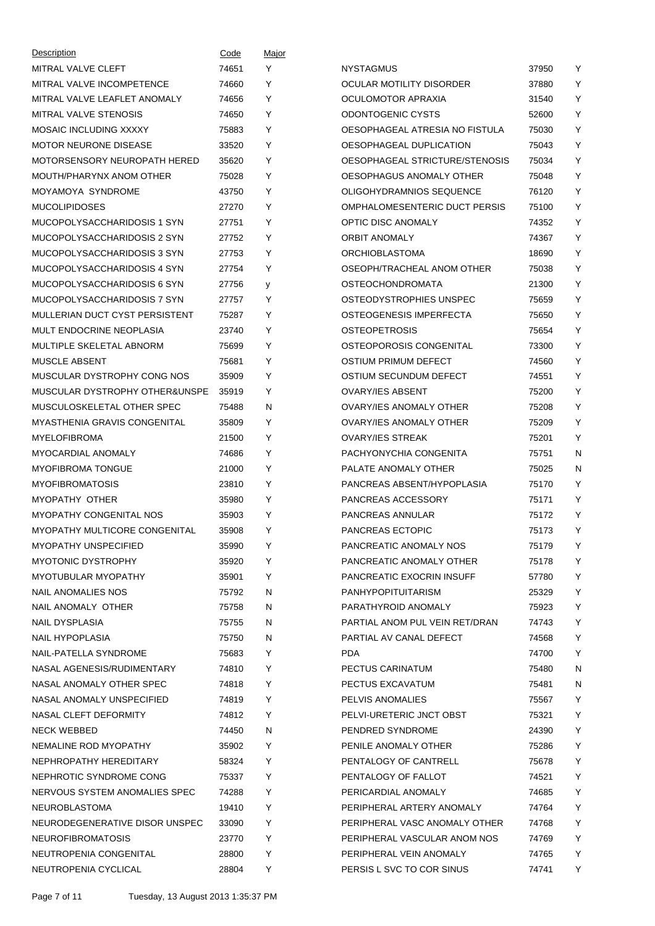| Description                         | Code  | Major |                                      |       |   |
|-------------------------------------|-------|-------|--------------------------------------|-------|---|
| MITRAL VALVE CLEFT                  | 74651 | Y     | <b>NYSTAGMUS</b>                     | 37950 | Y |
| MITRAL VALVE INCOMPETENCE           | 74660 | Y     | OCULAR MOTILITY DISORDER             | 37880 | Y |
| MITRAL VALVE LEAFLET ANOMALY        | 74656 | Y     | OCULOMOTOR APRAXIA                   | 31540 | Υ |
| <b>MITRAL VALVE STENOSIS</b>        | 74650 | Y     | ODONTOGENIC CYSTS                    | 52600 | Υ |
| <b>MOSAIC INCLUDING XXXXY</b>       | 75883 | Y     | OESOPHAGEAL ATRESIA NO FISTULA       | 75030 | Υ |
| <b>MOTOR NEURONE DISEASE</b>        | 33520 | Y     | OESOPHAGEAL DUPLICATION              | 75043 | Υ |
| MOTORSENSORY NEUROPATH HERED        | 35620 | Y     | OESOPHAGEAL STRICTURE/STENOSIS       | 75034 | Υ |
| MOUTH/PHARYNX ANOM OTHER            | 75028 | Y     | OESOPHAGUS ANOMALY OTHER             | 75048 | Υ |
| MOYAMOYA SYNDROME                   | 43750 | Y     | OLIGOHYDRAMNIOS SEQUENCE             | 76120 | Υ |
| <b>MUCOLIPIDOSES</b>                | 27270 | Y     | <b>OMPHALOMESENTERIC DUCT PERSIS</b> | 75100 | Υ |
| MUCOPOLYSACCHARIDOSIS 1 SYN         | 27751 | Y     | OPTIC DISC ANOMALY                   | 74352 | Υ |
| MUCOPOLYSACCHARIDOSIS 2 SYN         | 27752 | Y     | <b>ORBIT ANOMALY</b>                 | 74367 | Υ |
| MUCOPOLYSACCHARIDOSIS 3 SYN         | 27753 | Y     | <b>ORCHIOBLASTOMA</b>                | 18690 | Υ |
| MUCOPOLYSACCHARIDOSIS 4 SYN         | 27754 | Y     | OSEOPH/TRACHEAL ANOM OTHER           | 75038 | Υ |
| MUCOPOLYSACCHARIDOSIS 6 SYN         | 27756 | y     | <b>OSTEOCHONDROMATA</b>              | 21300 | Υ |
| MUCOPOLYSACCHARIDOSIS 7 SYN         | 27757 | Y     | OSTEODYSTROPHIES UNSPEC              | 75659 | Υ |
| MULLERIAN DUCT CYST PERSISTENT      | 75287 | Y     | OSTEOGENESIS IMPERFECTA              | 75650 | Υ |
| MULT ENDOCRINE NEOPLASIA            | 23740 | Y     | <b>OSTEOPETROSIS</b>                 | 75654 | Υ |
| MULTIPLE SKELETAL ABNORM            | 75699 | Y     | OSTEOPOROSIS CONGENITAL              | 73300 | Υ |
| MUSCLE ABSENT                       | 75681 | Y     | OSTIUM PRIMUM DEFECT                 | 74560 | Υ |
| MUSCULAR DYSTROPHY CONG NOS         | 35909 | Y     | OSTIUM SECUNDUM DEFECT               | 74551 | Υ |
| MUSCULAR DYSTROPHY OTHER&UNSPE      | 35919 | Y     | <b>OVARY/IES ABSENT</b>              | 75200 | Υ |
| MUSCULOSKELETAL OTHER SPEC          | 75488 | N     | OVARY/IES ANOMALY OTHER              | 75208 | Υ |
| <b>MYASTHENIA GRAVIS CONGENITAL</b> | 35809 | Y     | <b>OVARY/IES ANOMALY OTHER</b>       | 75209 | Υ |
| <b>MYELOFIBROMA</b>                 | 21500 | Y     | <b>OVARY/IES STREAK</b>              | 75201 | Υ |
| <b>MYOCARDIAL ANOMALY</b>           | 74686 | Y     | PACHYONYCHIA CONGENITA               | 75751 | N |
| <b>MYOFIBROMA TONGUE</b>            | 21000 | Y     | PALATE ANOMALY OTHER                 | 75025 | N |
| <b>MYOFIBROMATOSIS</b>              | 23810 | Y     | PANCREAS ABSENT/HYPOPLASIA           | 75170 | Υ |
| MYOPATHY OTHER                      | 35980 | Y     | PANCREAS ACCESSORY                   | 75171 | Υ |
| <b>MYOPATHY CONGENITAL NOS</b>      | 35903 | Y     | PANCREAS ANNULAR                     | 75172 | Υ |
| MYOPATHY MULTICORE CONGENITAL       | 35908 | Y     | <b>PANCREAS ECTOPIC</b>              | 75173 | Υ |
| <b>MYOPATHY UNSPECIFIED</b>         | 35990 | Y     | PANCREATIC ANOMALY NOS               | 75179 | Y |
| <b>MYOTONIC DYSTROPHY</b>           | 35920 | Y     | PANCREATIC ANOMALY OTHER             | 75178 | Y |
| MYOTUBULAR MYOPATHY                 | 35901 | Y     | PANCREATIC EXOCRIN INSUFF            | 57780 | Υ |
| NAIL ANOMALIES NOS                  | 75792 | N     | <b>PANHYPOPITUITARISM</b>            | 25329 | Y |
| NAIL ANOMALY OTHER                  | 75758 | N     | PARATHYROID ANOMALY                  | 75923 | Υ |
| <b>NAIL DYSPLASIA</b>               | 75755 | N     | PARTIAL ANOM PUL VEIN RET/DRAN       | 74743 | Υ |
| NAIL HYPOPLASIA                     | 75750 | N     | PARTIAL AV CANAL DEFECT              | 74568 | Y |
| NAIL-PATELLA SYNDROME               | 75683 | Y     | <b>PDA</b>                           | 74700 | Υ |
| NASAL AGENESIS/RUDIMENTARY          | 74810 | Y     | PECTUS CARINATUM                     | 75480 | N |
| NASAL ANOMALY OTHER SPEC            | 74818 | Y     | PECTUS EXCAVATUM                     | 75481 | N |
| NASAL ANOMALY UNSPECIFIED           | 74819 | Y     | PELVIS ANOMALIES                     | 75567 | Y |
| NASAL CLEFT DEFORMITY               | 74812 | Y     | PELVI-URETERIC JNCT OBST             | 75321 | Y |
| <b>NECK WEBBED</b>                  | 74450 | N     | PENDRED SYNDROME                     | 24390 | Y |
| NEMALINE ROD MYOPATHY               | 35902 | Y     | PENILE ANOMALY OTHER                 | 75286 | Υ |
| NEPHROPATHY HEREDITARY              | 58324 | Υ     | PENTALOGY OF CANTRELL                | 75678 | Υ |
| NEPHROTIC SYNDROME CONG             | 75337 | Υ     | PENTALOGY OF FALLOT                  | 74521 | Υ |
| NERVOUS SYSTEM ANOMALIES SPEC       | 74288 | Y     | PERICARDIAL ANOMALY                  | 74685 | Υ |
| <b>NEUROBLASTOMA</b>                | 19410 | Υ     | PERIPHERAL ARTERY ANOMALY            | 74764 | Υ |
| NEURODEGENERATIVE DISOR UNSPEC      | 33090 | Υ     | PERIPHERAL VASC ANOMALY OTHER        | 74768 | Υ |
| <b>NEUROFIBROMATOSIS</b>            | 23770 | Y     | PERIPHERAL VASCULAR ANOM NOS         | 74769 | Υ |
| NEUTROPENIA CONGENITAL              | 28800 | Υ     | PERIPHERAL VEIN ANOMALY              | 74765 | Y |
| NEUTROPENIA CYCLICAL                | 28804 | Y     | PERSIS L SVC TO COR SINUS            | 74741 | Y |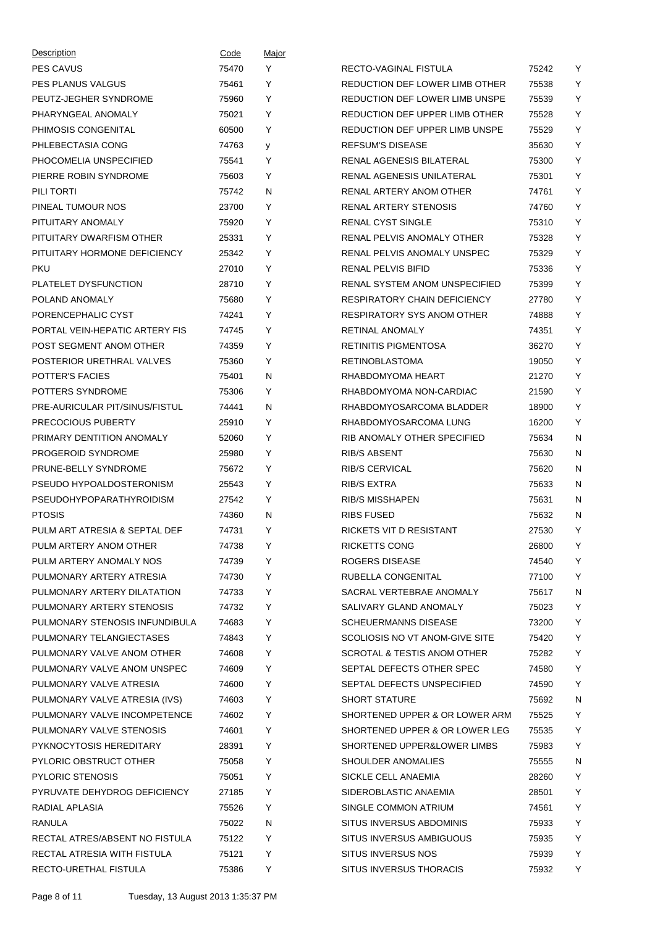| Description                    | Code  | <u>Major</u> |                                        |       |        |
|--------------------------------|-------|--------------|----------------------------------------|-------|--------|
| <b>PES CAVUS</b>               | 75470 | Y            | RECTO-VAGINAL FISTULA                  | 75242 | Y      |
| <b>PES PLANUS VALGUS</b>       | 75461 | Y            | REDUCTION DEF LOWER LIMB OTHER         | 75538 | Y      |
| PEUTZ-JEGHER SYNDROME          | 75960 | Y            | REDUCTION DEF LOWER LIMB UNSPE         | 75539 | Y      |
| PHARYNGEAL ANOMALY             | 75021 | Y            | REDUCTION DEF UPPER LIMB OTHER         | 75528 | Y      |
| PHIMOSIS CONGENITAL            | 60500 | Y            | REDUCTION DEF UPPER LIMB UNSPE         | 75529 | Y      |
| PHLEBECTASIA CONG              | 74763 | y            | <b>REFSUM'S DISEASE</b>                | 35630 | Y      |
| PHOCOMELIA UNSPECIFIED         | 75541 | Y            | <b>RENAL AGENESIS BILATERAL</b>        | 75300 | Y      |
| PIERRE ROBIN SYNDROME          | 75603 | Y            | RENAL AGENESIS UNILATERAL              | 75301 | Y      |
| PILI TORTI                     | 75742 | N            | RENAL ARTERY ANOM OTHER                | 74761 | Y      |
| PINEAL TUMOUR NOS              | 23700 | Y            | RENAL ARTERY STENOSIS                  | 74760 | Y      |
| PITUITARY ANOMALY              | 75920 | Y            | <b>RENAL CYST SINGLE</b>               | 75310 | Y      |
| PITUITARY DWARFISM OTHER       | 25331 | Y            | RENAL PELVIS ANOMALY OTHER             | 75328 | Y      |
| PITUITARY HORMONE DEFICIENCY   | 25342 | Y            | RENAL PELVIS ANOMALY UNSPEC            | 75329 | Y      |
| <b>PKU</b>                     | 27010 | Y            | <b>RENAL PELVIS BIFID</b>              | 75336 | Y      |
| PLATELET DYSFUNCTION           | 28710 | Y            | RENAL SYSTEM ANOM UNSPECIFIED          | 75399 | Y      |
| POLAND ANOMALY                 | 75680 | Y            | <b>RESPIRATORY CHAIN DEFICIENCY</b>    | 27780 | Y      |
| PORENCEPHALIC CYST             | 74241 | Y            | <b>RESPIRATORY SYS ANOM OTHER</b>      | 74888 | Y      |
| PORTAL VEIN-HEPATIC ARTERY FIS | 74745 | Y            | <b>RETINAL ANOMALY</b>                 | 74351 | Y      |
| POST SEGMENT ANOM OTHER        | 74359 | Υ            | <b>RETINITIS PIGMENTOSA</b>            | 36270 | Y      |
| POSTERIOR URETHRAL VALVES      | 75360 | Y            | <b>RETINOBLASTOMA</b>                  | 19050 | Y      |
| <b>POTTER'S FACIES</b>         | 75401 | N            | RHABDOMYOMA HEART                      | 21270 | Y      |
| POTTERS SYNDROME               | 75306 | Y            | RHABDOMYOMA NON-CARDIAC                | 21590 | Y      |
| PRE-AURICULAR PIT/SINUS/FISTUL | 74441 | N            | RHABDOMYOSARCOMA BLADDER               | 18900 | Y      |
| PRECOCIOUS PUBERTY             | 25910 | Y            | RHABDOMYOSARCOMA LUNG                  | 16200 | Y      |
| PRIMARY DENTITION ANOMALY      | 52060 | Y            | RIB ANOMALY OTHER SPECIFIED            | 75634 | N      |
| PROGEROID SYNDROME             | 25980 | Y            | <b>RIB/S ABSENT</b>                    | 75630 | N      |
| PRUNE-BELLY SYNDROME           | 75672 | Y            | <b>RIB/S CERVICAL</b>                  | 75620 | N      |
| PSEUDO HYPOALDOSTERONISM       | 25543 | Y            | <b>RIB/S EXTRA</b>                     | 75633 | N      |
| PSEUDOHYPOPARATHYROIDISM       | 27542 | Y            | <b>RIB/S MISSHAPEN</b>                 | 75631 | N      |
| <b>PTOSIS</b>                  | 74360 |              | <b>RIBS FUSED</b>                      | 75632 |        |
|                                |       | N            | RICKETS VIT D RESISTANT                |       | N<br>Y |
| PULM ART ATRESIA & SEPTAL DEF  | 74731 | Y            |                                        | 27530 |        |
| PULM ARTERY ANOM OTHER         | 74738 | Y            | RICKETTS CONG                          | 26800 | Y      |
| PULM ARTERY ANOMALY NOS        | 74739 | Y            | <b>ROGERS DISEASE</b>                  | 74540 | Y      |
| PULMONARY ARTERY ATRESIA       | 74730 | Υ            | RUBELLA CONGENITAL                     | 77100 | Y      |
| PULMONARY ARTERY DILATATION    | 74733 | Υ            | SACRAL VERTEBRAE ANOMALY               | 75617 | N      |
| PULMONARY ARTERY STENOSIS      | 74732 | Υ            | SALIVARY GLAND ANOMALY                 | 75023 | Υ      |
| PULMONARY STENOSIS INFUNDIBULA | 74683 | Υ            | <b>SCHEUERMANNS DISEASE</b>            | 73200 | Υ      |
| PULMONARY TELANGIECTASES       | 74843 | Y            | SCOLIOSIS NO VT ANOM-GIVE SITE         | 75420 | Υ      |
| PULMONARY VALVE ANOM OTHER     | 74608 | Y            | <b>SCROTAL &amp; TESTIS ANOM OTHER</b> | 75282 | Υ      |
| PULMONARY VALVE ANOM UNSPEC    | 74609 | Υ            | SEPTAL DEFECTS OTHER SPEC              | 74580 | Y      |
| PULMONARY VALVE ATRESIA        | 74600 | Υ            | SEPTAL DEFECTS UNSPECIFIED             | 74590 | Υ      |
| PULMONARY VALVE ATRESIA (IVS)  | 74603 | Υ            | <b>SHORT STATURE</b>                   | 75692 | N      |
| PULMONARY VALVE INCOMPETENCE   | 74602 | Υ            | SHORTENED UPPER & OR LOWER ARM         | 75525 | Υ      |
| PULMONARY VALVE STENOSIS       | 74601 | Y            | SHORTENED UPPER & OR LOWER LEG         | 75535 | Υ      |
| PYKNOCYTOSIS HEREDITARY        | 28391 | Υ            | SHORTENED UPPER&LOWER LIMBS            | 75983 | Υ      |
| PYLORIC OBSTRUCT OTHER         | 75058 | Υ            | SHOULDER ANOMALIES                     | 75555 | N      |
| <b>PYLORIC STENOSIS</b>        | 75051 | Υ            | SICKLE CELL ANAEMIA                    | 28260 | Υ      |
| PYRUVATE DEHYDROG DEFICIENCY   | 27185 | Υ            | SIDEROBLASTIC ANAEMIA                  | 28501 | Υ      |
| RADIAL APLASIA                 | 75526 | Υ            | SINGLE COMMON ATRIUM                   | 74561 | Y      |
| RANULA                         | 75022 | N            | SITUS INVERSUS ABDOMINIS               | 75933 | Υ      |
| RECTAL ATRES/ABSENT NO FISTULA | 75122 | Υ            | SITUS INVERSUS AMBIGUOUS               | 75935 | Υ      |
| RECTAL ATRESIA WITH FISTULA    | 75121 | Υ            | SITUS INVERSUS NOS                     | 75939 | Y      |
| RECTO-URETHAL FISTULA          | 75386 | Υ            | SITUS INVERSUS THORACIS                | 75932 | Y      |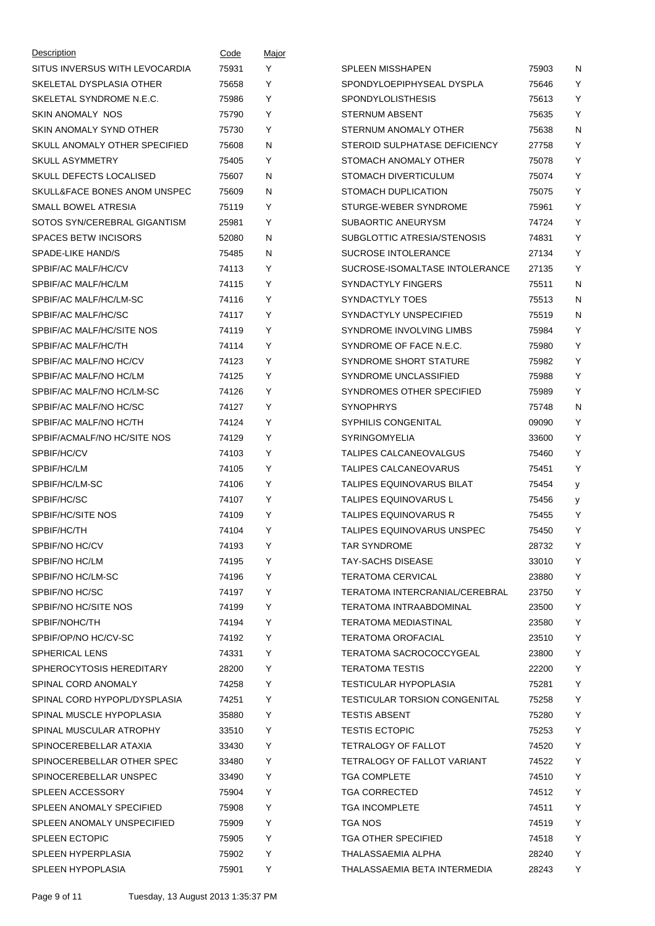| Description                    | Code           | <u>Major</u> |                                                                  |                |        |
|--------------------------------|----------------|--------------|------------------------------------------------------------------|----------------|--------|
| SITUS INVERSUS WITH LEVOCARDIA | 75931          | Y            | <b>SPLEEN MISSHAPEN</b>                                          | 75903          | N      |
| SKELETAL DYSPLASIA OTHER       | 75658          | Y            | SPONDYLOEPIPHYSEAL DYSPLA                                        | 75646          | Y      |
| SKELETAL SYNDROME N.E.C.       | 75986          | Y            | <b>SPONDYLOLISTHESIS</b>                                         | 75613          | Y      |
| SKIN ANOMALY NOS               | 75790          | Y            | <b>STERNUM ABSENT</b>                                            | 75635          | Y      |
| SKIN ANOMALY SYND OTHER        | 75730          | Y            | STERNUM ANOMALY OTHER                                            | 75638          | N      |
| SKULL ANOMALY OTHER SPECIFIED  | 75608          | N            | STEROID SULPHATASE DEFICIENCY                                    | 27758          | Y      |
| <b>SKULL ASYMMETRY</b>         | 75405          | Y            | STOMACH ANOMALY OTHER                                            | 75078          | Y      |
| SKULL DEFECTS LOCALISED        | 75607          | N            | STOMACH DIVERTICULUM                                             | 75074          | Y      |
| SKULL&FACE BONES ANOM UNSPEC   | 75609          | N            | STOMACH DUPLICATION                                              | 75075          | Y      |
| SMALL BOWEL ATRESIA            | 75119          | Y            | STURGE-WEBER SYNDROME                                            | 75961          | Y      |
| SOTOS SYN/CEREBRAL GIGANTISM   | 25981          | Y            | SUBAORTIC ANEURYSM                                               | 74724          | Υ      |
| <b>SPACES BETW INCISORS</b>    | 52080          | N            | SUBGLOTTIC ATRESIA/STENOSIS                                      | 74831          | Y      |
| SPADE-LIKE HAND/S              | 75485          | N            | <b>SUCROSE INTOLERANCE</b>                                       | 27134          | Y      |
| SPBIF/AC MALF/HC/CV            | 74113          | Y            | SUCROSE-ISOMALTASE INTOLERANCE                                   | 27135          | Y      |
| SPBIF/AC MALF/HC/LM            | 74115          | Y            | <b>SYNDACTYLY FINGERS</b>                                        | 75511          | N      |
| SPBIF/AC MALF/HC/LM-SC         | 74116          | Y            | SYNDACTYLY TOES                                                  | 75513          | N      |
| SPBIF/AC MALF/HC/SC            | 74117          | Y            | SYNDACTYLY UNSPECIFIED                                           | 75519          | N      |
| SPBIF/AC MALF/HC/SITE NOS      | 74119          | Y            | SYNDROME INVOLVING LIMBS                                         | 75984          | Y      |
| SPBIF/AC MALF/HC/TH            | 74114          | Y            | SYNDROME OF FACE N.E.C.                                          | 75980          | Y      |
| SPBIF/AC MALF/NO HC/CV         | 74123          | Y            | SYNDROME SHORT STATURE                                           | 75982          | Y      |
| SPBIF/AC MALF/NO HC/LM         | 74125          | Y            | SYNDROME UNCLASSIFIED                                            | 75988          | Y      |
| SPBIF/AC MALF/NO HC/LM-SC      | 74126          | Y            | SYNDROMES OTHER SPECIFIED                                        | 75989          | Y      |
| SPBIF/AC MALF/NO HC/SC         | 74127          | Y            | <b>SYNOPHRYS</b>                                                 | 75748          | N      |
| SPBIF/AC MALF/NO HC/TH         | 74124          | Y            | <b>SYPHILIS CONGENITAL</b>                                       | 09090          | Y      |
| SPBIF/ACMALF/NO HC/SITE NOS    | 74129          | Υ            | SYRINGOMYELIA                                                    | 33600          | Y      |
| SPBIF/HC/CV                    | 74103          | Y            | TALIPES CALCANEOVALGUS                                           | 75460          | Y      |
| SPBIF/HC/LM                    | 74105          | Y            | TALIPES CALCANEOVARUS                                            | 75451          | Y      |
| SPBIF/HC/LM-SC                 | 74106          | Y            | <b>TALIPES EQUINOVARUS BILAT</b>                                 | 75454          | y      |
| SPBIF/HC/SC                    | 74107          | Y            | <b>TALIPES EQUINOVARUS L</b>                                     | 75456          |        |
| SPBIF/HC/SITE NOS              | 74109          | Y            | <b>TALIPES EQUINOVARUS R</b>                                     | 75455          | у<br>Y |
| SPBIF/HC/TH                    | 74104          | Y            | TALIPES EQUINOVARUS UNSPEC                                       | 75450          | Y      |
| SPBIF/NO HC/CV                 |                |              |                                                                  |                |        |
| SPBIF/NO HC/LM                 | 74193<br>74195 | Y<br>Υ       | TAR SYNDROME<br><b>TAY-SACHS DISEASE</b>                         | 28732<br>33010 | Y<br>Y |
|                                |                | Y            |                                                                  |                | Y      |
| SPBIF/NO HC/LM-SC              | 74196          |              | TERATOMA CERVICAL                                                | 23880          | Υ      |
| SPBIF/NO HC/SC                 | 74197          | Υ            | TERATOMA INTERCRANIAL/CEREBRAL<br><b>TERATOMA INTRAABDOMINAL</b> | 23750          |        |
| SPBIF/NO HC/SITE NOS           | 74199          | Y            |                                                                  | 23500          | Υ      |
| SPBIF/NOHC/TH                  | 74194          | Y            | TERATOMA MEDIASTINAL                                             | 23580          | Y      |
| SPBIF/OP/NO HC/CV-SC           | 74192          | Y            | <b>TERATOMA OROFACIAL</b>                                        | 23510          | Υ      |
| SPHERICAL LENS                 | 74331          | Υ            | TERATOMA SACROCOCCYGEAL                                          | 23800          | Υ      |
| SPHEROCYTOSIS HEREDITARY       | 28200          | Y            | <b>TERATOMA TESTIS</b>                                           | 22200          | Y      |
| SPINAL CORD ANOMALY            | 74258          | Y            | <b>TESTICULAR HYPOPLASIA</b>                                     | 75281          | Υ      |
| SPINAL CORD HYPOPL/DYSPLASIA   | 74251          | Y            | <b>TESTICULAR TORSION CONGENITAL</b>                             | 75258          | Υ      |
| SPINAL MUSCLE HYPOPLASIA       | 35880          | Y            | <b>TESTIS ABSENT</b>                                             | 75280          | Y      |
| SPINAL MUSCULAR ATROPHY        | 33510          | Y            | <b>TESTIS ECTOPIC</b>                                            | 75253          | Y      |
| SPINOCEREBELLAR ATAXIA         | 33430          | Υ            | <b>TETRALOGY OF FALLOT</b>                                       | 74520          | Υ      |
| SPINOCEREBELLAR OTHER SPEC     | 33480          | Υ            | TETRALOGY OF FALLOT VARIANT                                      | 74522          | Y      |
| SPINOCEREBELLAR UNSPEC         | 33490          | Y            | <b>TGA COMPLETE</b>                                              | 74510          | Υ      |
| <b>SPLEEN ACCESSORY</b>        | 75904          | Y            | <b>TGA CORRECTED</b>                                             | 74512          | Υ      |
| SPLEEN ANOMALY SPECIFIED       | 75908          | Y            | <b>TGA INCOMPLETE</b>                                            | 74511          | Y      |
| SPLEEN ANOMALY UNSPECIFIED     | 75909          | Y            | TGA NOS                                                          | 74519          | Y      |
| <b>SPLEEN ECTOPIC</b>          | 75905          | Υ            | <b>TGA OTHER SPECIFIED</b>                                       | 74518          | Y      |
| SPLEEN HYPERPLASIA             | 75902          | Υ            | THALASSAEMIA ALPHA                                               | 28240          | Y      |
| SPLEEN HYPOPLASIA              | 75901          | Υ            | THALASSAEMIA BETA INTERMEDIA                                     | 28243          | Y      |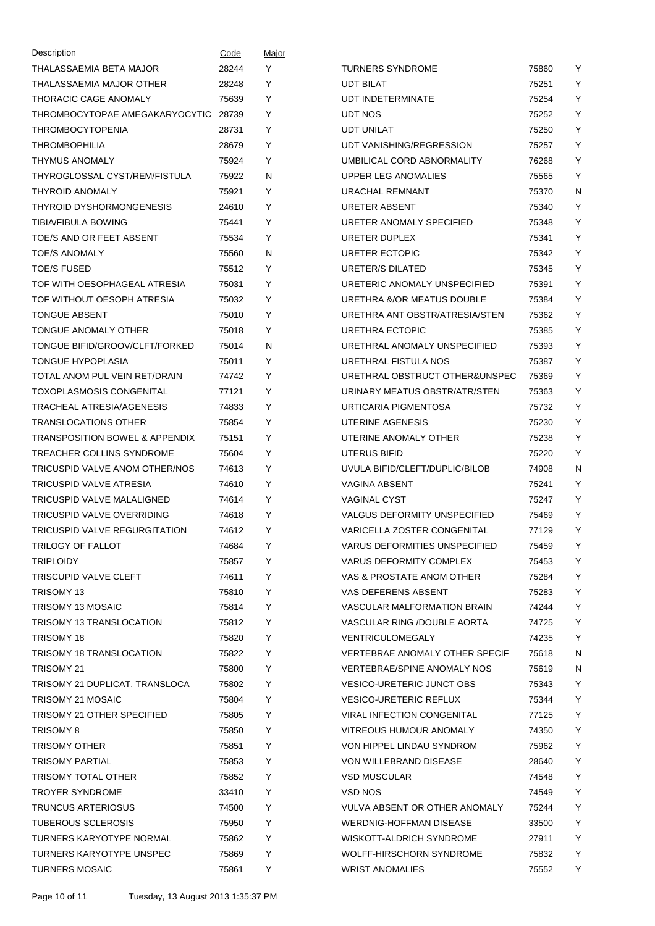| Description                               | Code  | Major |                                       |       |   |
|-------------------------------------------|-------|-------|---------------------------------------|-------|---|
| THALASSAEMIA BETA MAJOR                   | 28244 | Y     | <b>TURNERS SYNDROME</b>               | 75860 | Υ |
| THALASSAEMIA MAJOR OTHER                  | 28248 | Y     | <b>UDT BILAT</b>                      | 75251 | Y |
| THORACIC CAGE ANOMALY                     | 75639 | Y     | <b>UDT INDETERMINATE</b>              | 75254 | Y |
| THROMBOCYTOPAE AMEGAKARYOCYTIC            | 28739 | Y     | <b>UDT NOS</b>                        | 75252 | Υ |
| THROMBOCYTOPENIA                          | 28731 | Y     | UDT UNILAT                            | 75250 | Y |
| <b>THROMBOPHILIA</b>                      | 28679 | Y     | UDT VANISHING/REGRESSION              | 75257 | Y |
| <b>THYMUS ANOMALY</b>                     | 75924 | Y     | UMBILICAL CORD ABNORMALITY            | 76268 | Υ |
| THYROGLOSSAL CYST/REM/FISTULA             | 75922 | N     | UPPER LEG ANOMALIES                   | 75565 | Y |
| <b>THYROID ANOMALY</b>                    | 75921 | Y     | URACHAL REMNANT                       | 75370 | N |
| THYROID DYSHORMONGENESIS                  | 24610 | Y     | <b>URETER ABSENT</b>                  | 75340 | Y |
| TIBIA/FIBULA BOWING                       | 75441 | Y     | URETER ANOMALY SPECIFIED              | 75348 | Y |
| TOE/S AND OR FEET ABSENT                  | 75534 | Y     | URETER DUPLEX                         | 75341 | Y |
| <b>TOE/S ANOMALY</b>                      | 75560 | N     | URETER ECTOPIC                        | 75342 | Υ |
| <b>TOE/S FUSED</b>                        | 75512 | Y     | URETER/S DILATED                      | 75345 | Υ |
| TOF WITH OESOPHAGEAL ATRESIA              | 75031 | Y     | URETERIC ANOMALY UNSPECIFIED          | 75391 | Υ |
| TOF WITHOUT OESOPH ATRESIA                | 75032 | Y     | URETHRA &/OR MEATUS DOUBLE            | 75384 | Υ |
| <b>TONGUE ABSENT</b>                      | 75010 | Y     | URETHRA ANT OBSTR/ATRESIA/STEN        | 75362 | Y |
| TONGUE ANOMALY OTHER                      | 75018 | Y     | URETHRA ECTOPIC                       | 75385 | Υ |
| TONGUE BIFID/GROOV/CLFT/FORKED            | 75014 | N     | URETHRAL ANOMALY UNSPECIFIED          | 75393 | Υ |
| TONGUE HYPOPLASIA                         | 75011 | Y     | URETHRAL FISTULA NOS                  | 75387 | Υ |
| TOTAL ANOM PUL VEIN RET/DRAIN             | 74742 | Y     | URETHRAL OBSTRUCT OTHER&UNSPEC        | 75369 | Υ |
| <b>TOXOPLASMOSIS CONGENITAL</b>           | 77121 | Y     | URINARY MEATUS OBSTR/ATR/STEN         | 75363 | Y |
| TRACHEAL ATRESIA/AGENESIS                 | 74833 | Y     | URTICARIA PIGMENTOSA                  | 75732 | Y |
| <b>TRANSLOCATIONS OTHER</b>               | 75854 | Y     | UTERINE AGENESIS                      | 75230 | Υ |
| <b>TRANSPOSITION BOWEL &amp; APPENDIX</b> | 75151 | Y     | UTERINE ANOMALY OTHER                 | 75238 | Υ |
| TREACHER COLLINS SYNDROME                 | 75604 | Y     | UTERUS BIFID                          | 75220 | Υ |
| TRICUSPID VALVE ANOM OTHER/NOS            | 74613 | Y     | UVULA BIFID/CLEFT/DUPLIC/BILOB        | 74908 | N |
| TRICUSPID VALVE ATRESIA                   | 74610 | Y     | VAGINA ABSENT                         | 75241 | Υ |
| TRICUSPID VALVE MALALIGNED                | 74614 | Y     | <b>VAGINAL CYST</b>                   | 75247 | Y |
| TRICUSPID VALVE OVERRIDING                | 74618 | Y     | <b>VALGUS DEFORMITY UNSPECIFIED</b>   | 75469 | Υ |
| TRICUSPID VALVE REGURGITATION             | 74612 | Y     | <b>VARICELLA ZOSTER CONGENITAL</b>    | 77129 | Y |
| TRILOGY OF FALLOT                         | 74684 | Y     | <b>VARUS DEFORMITIES UNSPECIFIED</b>  | 75459 | Y |
| <b>TRIPLOIDY</b>                          | 75857 | Y     | <b>VARUS DEFORMITY COMPLEX</b>        | 75453 | Y |
| TRISCUPID VALVE CLEFT                     | 74611 | Y     | VAS & PROSTATE ANOM OTHER             | 75284 | Y |
| TRISOMY 13                                | 75810 | Y     | VAS DEFERENS ABSENT                   | 75283 | Y |
| TRISOMY 13 MOSAIC                         | 75814 | Y     | <b>VASCULAR MALFORMATION BRAIN</b>    | 74244 | Y |
| <b>TRISOMY 13 TRANSLOCATION</b>           | 75812 | Y     | VASCULAR RING /DOUBLE AORTA           | 74725 | Υ |
| TRISOMY 18                                | 75820 | Y     | <b>VENTRICULOMEGALY</b>               | 74235 | Y |
| <b>TRISOMY 18 TRANSLOCATION</b>           | 75822 | Y     | <b>VERTEBRAE ANOMALY OTHER SPECIF</b> | 75618 | N |
| TRISOMY 21                                | 75800 | Υ     | <b>VERTEBRAE/SPINE ANOMALY NOS</b>    | 75619 | N |
| TRISOMY 21 DUPLICAT, TRANSLOCA            | 75802 | Y     | <b>VESICO-URETERIC JUNCT OBS</b>      | 75343 | Y |
| TRISOMY 21 MOSAIC                         | 75804 | Y     | <b>VESICO-URETERIC REFLUX</b>         | 75344 | Υ |
| TRISOMY 21 OTHER SPECIFIED                | 75805 | Y     | <b>VIRAL INFECTION CONGENITAL</b>     | 77125 | Y |
| <b>TRISOMY 8</b>                          | 75850 | Y     | VITREOUS HUMOUR ANOMALY               | 74350 | Y |
| <b>TRISOMY OTHER</b>                      | 75851 | Y     | VON HIPPEL LINDAU SYNDROM             | 75962 | Υ |
| <b>TRISOMY PARTIAL</b>                    | 75853 | Y     | VON WILLEBRAND DISEASE                | 28640 | Y |
| TRISOMY TOTAL OTHER                       | 75852 | Y     | <b>VSD MUSCULAR</b>                   | 74548 | Υ |
| <b>TROYER SYNDROME</b>                    | 33410 | Y     | VSD NOS                               | 74549 | Y |
| <b>TRUNCUS ARTERIOSUS</b>                 | 74500 | Y     | VULVA ABSENT OR OTHER ANOMALY         | 75244 | Y |
| <b>TUBEROUS SCLEROSIS</b>                 | 75950 | Y     | WERDNIG-HOFFMAN DISEASE               | 33500 | Y |
| TURNERS KARYOTYPE NORMAL                  | 75862 | Y     | WISKOTT-ALDRICH SYNDROME              | 27911 | Υ |
| <b>TURNERS KARYOTYPE UNSPEC</b>           | 75869 | Υ     | WOLFF-HIRSCHORN SYNDROME              | 75832 | Y |
| <b>TURNERS MOSAIC</b>                     | 75861 | Y     | <b>WRIST ANOMALIES</b>                | 75552 | Y |